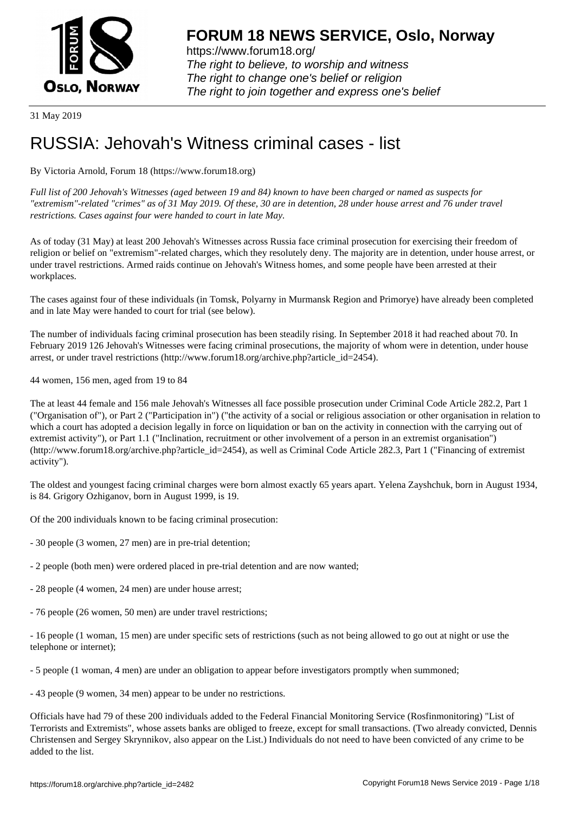

https://www.forum18.org/ The right to believe, to worship and witness The right to change one's belief or religion [The right to join together a](https://www.forum18.org/)nd express one's belief

31 May 2019

# [RUSSIA: Jehov](https://www.forum18.org)ah's Witness criminal cases - list

By Victoria Arnold, Forum 18 (https://www.forum18.org)

*Full list of 200 Jehovah's Witnesses (aged between 19 and 84) known to have been charged or named as suspects for "extremism"-related "crimes" as of 31 May 2019. Of these, 30 are in detention, 28 under house arrest and 76 under travel restrictions. Cases against four were handed to court in late May.*

As of today (31 May) at least 200 Jehovah's Witnesses across Russia face criminal prosecution for exercising their freedom of religion or belief on "extremism"-related charges, which they resolutely deny. The majority are in detention, under house arrest, or under travel restrictions. Armed raids continue on Jehovah's Witness homes, and some people have been arrested at their workplaces.

The cases against four of these individuals (in Tomsk, Polyarny in Murmansk Region and Primorye) have already been completed and in late May were handed to court for trial (see below).

The number of individuals facing criminal prosecution has been steadily rising. In September 2018 it had reached about 70. In February 2019 126 Jehovah's Witnesses were facing criminal prosecutions, the majority of whom were in detention, under house arrest, or under travel restrictions (http://www.forum18.org/archive.php?article\_id=2454).

44 women, 156 men, aged from 19 to 84

The at least 44 female and 156 male Jehovah's Witnesses all face possible prosecution under Criminal Code Article 282.2, Part 1 ("Organisation of"), or Part 2 ("Participation in") ("the activity of a social or religious association or other organisation in relation to which a court has adopted a decision legally in force on liquidation or ban on the activity in connection with the carrying out of extremist activity"), or Part 1.1 ("Inclination, recruitment or other involvement of a person in an extremist organisation") (http://www.forum18.org/archive.php?article\_id=2454), as well as Criminal Code Article 282.3, Part 1 ("Financing of extremist activity").

The oldest and youngest facing criminal charges were born almost exactly 65 years apart. Yelena Zayshchuk, born in August 1934, is 84. Grigory Ozhiganov, born in August 1999, is 19.

Of the 200 individuals known to be facing criminal prosecution:

- 30 people (3 women, 27 men) are in pre-trial detention;
- 2 people (both men) were ordered placed in pre-trial detention and are now wanted;
- 28 people (4 women, 24 men) are under house arrest;
- 76 people (26 women, 50 men) are under travel restrictions;

- 16 people (1 woman, 15 men) are under specific sets of restrictions (such as not being allowed to go out at night or use the telephone or internet);

- 5 people (1 woman, 4 men) are under an obligation to appear before investigators promptly when summoned;

- 43 people (9 women, 34 men) appear to be under no restrictions.

Officials have had 79 of these 200 individuals added to the Federal Financial Monitoring Service (Rosfinmonitoring) "List of Terrorists and Extremists", whose assets banks are obliged to freeze, except for small transactions. (Two already convicted, Dennis Christensen and Sergey Skrynnikov, also appear on the List.) Individuals do not need to have been convicted of any crime to be added to the list.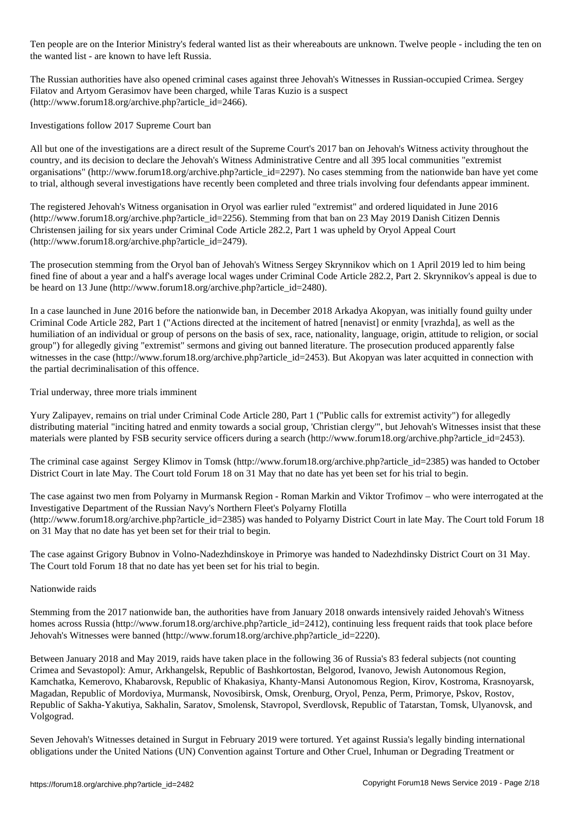Ten people are on the Interior Ministry's federal wanted list as their whereabouts are unknown. Twelve people - including the ten on the wanted list - are known to have left Russia.

The Russian authorities have also opened criminal cases against three Jehovah's Witnesses in Russian-occupied Crimea. Sergey Filatov and Artyom Gerasimov have been charged, while Taras Kuzio is a suspect (http://www.forum18.org/archive.php?article\_id=2466).

Investigations follow 2017 Supreme Court ban

All but one of the investigations are a direct result of the Supreme Court's 2017 ban on Jehovah's Witness activity throughout the country, and its decision to declare the Jehovah's Witness Administrative Centre and all 395 local communities "extremist organisations" (http://www.forum18.org/archive.php?article\_id=2297). No cases stemming from the nationwide ban have yet come to trial, although several investigations have recently been completed and three trials involving four defendants appear imminent.

The registered Jehovah's Witness organisation in Oryol was earlier ruled "extremist" and ordered liquidated in June 2016 (http://www.forum18.org/archive.php?article\_id=2256). Stemming from that ban on 23 May 2019 Danish Citizen Dennis Christensen jailing for six years under Criminal Code Article 282.2, Part 1 was upheld by Oryol Appeal Court (http://www.forum18.org/archive.php?article\_id=2479).

The prosecution stemming from the Oryol ban of Jehovah's Witness Sergey Skrynnikov which on 1 April 2019 led to him being fined fine of about a year and a half's average local wages under Criminal Code Article 282.2, Part 2. Skrynnikov's appeal is due to be heard on 13 June (http://www.forum18.org/archive.php?article\_id=2480).

In a case launched in June 2016 before the nationwide ban, in December 2018 Arkadya Akopyan, was initially found guilty under Criminal Code Article 282, Part 1 ("Actions directed at the incitement of hatred [nenavist] or enmity [vrazhda], as well as the humiliation of an individual or group of persons on the basis of sex, race, nationality, language, origin, attitude to religion, or social group") for allegedly giving "extremist" sermons and giving out banned literature. The prosecution produced apparently false witnesses in the case (http://www.forum18.org/archive.php?article\_id=2453). But Akopyan was later acquitted in connection with the partial decriminalisation of this offence.

Trial underway, three more trials imminent

Yury Zalipayev, remains on trial under Criminal Code Article 280, Part 1 ("Public calls for extremist activity") for allegedly distributing material "inciting hatred and enmity towards a social group, 'Christian clergy'", but Jehovah's Witnesses insist that these materials were planted by FSB security service officers during a search (http://www.forum18.org/archive.php?article\_id=2453).

The criminal case against Sergey Klimov in Tomsk (http://www.forum18.org/archive.php?article\_id=2385) was handed to October District Court in late May. The Court told Forum 18 on 31 May that no date has yet been set for his trial to begin.

The case against two men from Polyarny in Murmansk Region - Roman Markin and Viktor Trofimov – who were interrogated at the Investigative Department of the Russian Navy's Northern Fleet's Polyarny Flotilla (http://www.forum18.org/archive.php?article\_id=2385) was handed to Polyarny District Court in late May. The Court told Forum 18 on 31 May that no date has yet been set for their trial to begin.

The case against Grigory Bubnov in Volno-Nadezhdinskoye in Primorye was handed to Nadezhdinsky District Court on 31 May. The Court told Forum 18 that no date has yet been set for his trial to begin.

Nationwide raids

Stemming from the 2017 nationwide ban, the authorities have from January 2018 onwards intensively raided Jehovah's Witness homes across Russia (http://www.forum18.org/archive.php?article id=2412), continuing less frequent raids that took place before Jehovah's Witnesses were banned (http://www.forum18.org/archive.php?article\_id=2220).

Between January 2018 and May 2019, raids have taken place in the following 36 of Russia's 83 federal subjects (not counting Crimea and Sevastopol): Amur, Arkhangelsk, Republic of Bashkortostan, Belgorod, Ivanovo, Jewish Autonomous Region, Kamchatka, Kemerovo, Khabarovsk, Republic of Khakasiya, Khanty-Mansi Autonomous Region, Kirov, Kostroma, Krasnoyarsk, Magadan, Republic of Mordoviya, Murmansk, Novosibirsk, Omsk, Orenburg, Oryol, Penza, Perm, Primorye, Pskov, Rostov, Republic of Sakha-Yakutiya, Sakhalin, Saratov, Smolensk, Stavropol, Sverdlovsk, Republic of Tatarstan, Tomsk, Ulyanovsk, and Volgograd.

Seven Jehovah's Witnesses detained in Surgut in February 2019 were tortured. Yet against Russia's legally binding international obligations under the United Nations (UN) Convention against Torture and Other Cruel, Inhuman or Degrading Treatment or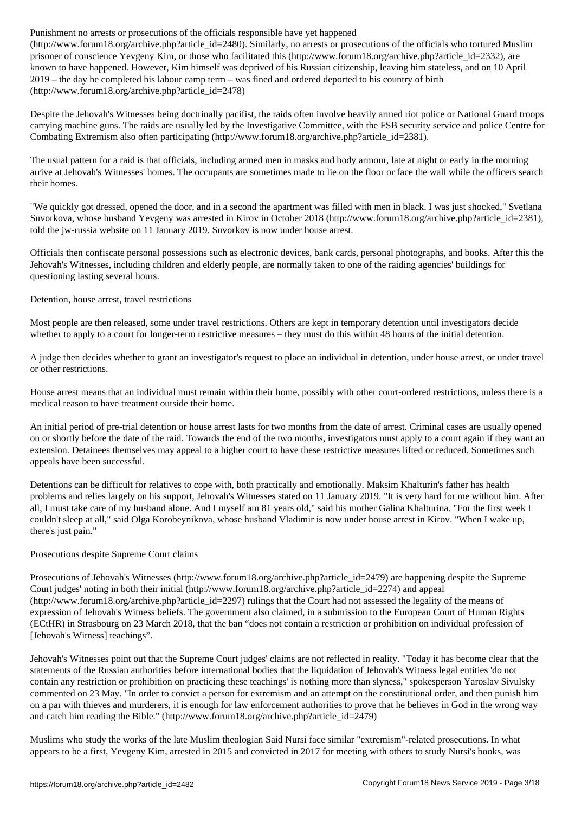$\mathcal{C}$ prisoner of conscience Yevgeny Kim, or those who facilitated this (http://www.forum18.org/archive.php?article\_id=2332), are known to have happened. However, Kim himself was deprived of his Russian citizenship, leaving him stateless, and on 10 April 2019 – the day he completed his labour camp term – was fined and ordered deported to his country of birth (http://www.forum18.org/archive.php?article\_id=2478)

Despite the Jehovah's Witnesses being doctrinally pacifist, the raids often involve heavily armed riot police or National Guard troops carrying machine guns. The raids are usually led by the Investigative Committee, with the FSB security service and police Centre for Combating Extremism also often participating (http://www.forum18.org/archive.php?article\_id=2381).

The usual pattern for a raid is that officials, including armed men in masks and body armour, late at night or early in the morning arrive at Jehovah's Witnesses' homes. The occupants are sometimes made to lie on the floor or face the wall while the officers search their homes.

"We quickly got dressed, opened the door, and in a second the apartment was filled with men in black. I was just shocked," Svetlana Suvorkova, whose husband Yevgeny was arrested in Kirov in October 2018 (http://www.forum18.org/archive.php?article\_id=2381), told the jw-russia website on 11 January 2019. Suvorkov is now under house arrest.

Officials then confiscate personal possessions such as electronic devices, bank cards, personal photographs, and books. After this the Jehovah's Witnesses, including children and elderly people, are normally taken to one of the raiding agencies' buildings for questioning lasting several hours.

Detention, house arrest, travel restrictions

Most people are then released, some under travel restrictions. Others are kept in temporary detention until investigators decide whether to apply to a court for longer-term restrictive measures – they must do this within 48 hours of the initial detention.

A judge then decides whether to grant an investigator's request to place an individual in detention, under house arrest, or under travel or other restrictions.

House arrest means that an individual must remain within their home, possibly with other court-ordered restrictions, unless there is a medical reason to have treatment outside their home.

An initial period of pre-trial detention or house arrest lasts for two months from the date of arrest. Criminal cases are usually opened on or shortly before the date of the raid. Towards the end of the two months, investigators must apply to a court again if they want an extension. Detainees themselves may appeal to a higher court to have these restrictive measures lifted or reduced. Sometimes such appeals have been successful.

Detentions can be difficult for relatives to cope with, both practically and emotionally. Maksim Khalturin's father has health problems and relies largely on his support, Jehovah's Witnesses stated on 11 January 2019. "It is very hard for me without him. After all, I must take care of my husband alone. And I myself am 81 years old," said his mother Galina Khalturina. "For the first week I couldn't sleep at all," said Olga Korobeynikova, whose husband Vladimir is now under house arrest in Kirov. "When I wake up, there's just pain."

## Prosecutions despite Supreme Court claims

Prosecutions of Jehovah's Witnesses (http://www.forum18.org/archive.php?article\_id=2479) are happening despite the Supreme Court judges' noting in both their initial (http://www.forum18.org/archive.php?article\_id=2274) and appeal (http://www.forum18.org/archive.php?article\_id=2297) rulings that the Court had not assessed the legality of the means of expression of Jehovah's Witness beliefs. The government also claimed, in a submission to the European Court of Human Rights (ECtHR) in Strasbourg on 23 March 2018, that the ban "does not contain a restriction or prohibition on individual profession of [Jehovah's Witness] teachings".

Jehovah's Witnesses point out that the Supreme Court judges' claims are not reflected in reality. "Today it has become clear that the statements of the Russian authorities before international bodies that the liquidation of Jehovah's Witness legal entities 'do not contain any restriction or prohibition on practicing these teachings' is nothing more than slyness," spokesperson Yaroslav Sivulsky commented on 23 May. "In order to convict a person for extremism and an attempt on the constitutional order, and then punish him on a par with thieves and murderers, it is enough for law enforcement authorities to prove that he believes in God in the wrong way and catch him reading the Bible." (http://www.forum18.org/archive.php?article\_id=2479)

Muslims who study the works of the late Muslim theologian Said Nursi face similar "extremism"-related prosecutions. In what appears to be a first, Yevgeny Kim, arrested in 2015 and convicted in 2017 for meeting with others to study Nursi's books, was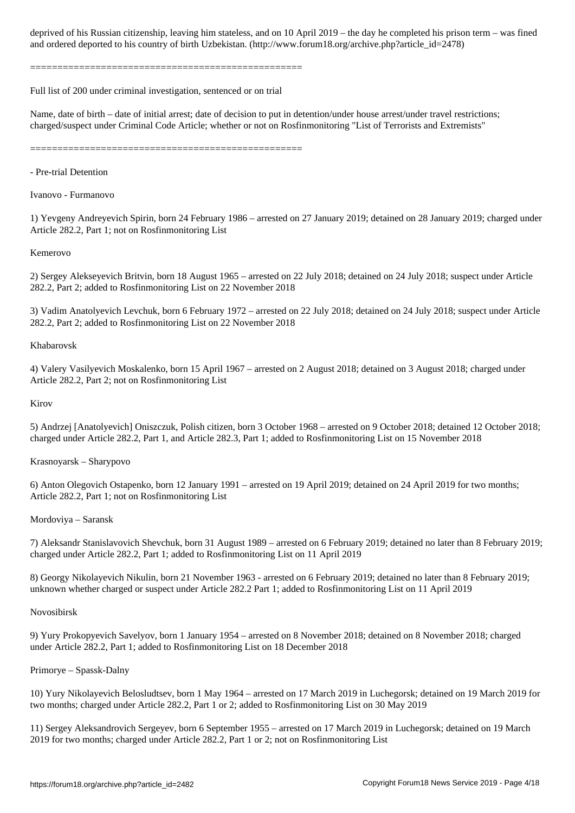==================================================

Full list of 200 under criminal investigation, sentenced or on trial

Name, date of birth – date of initial arrest; date of decision to put in detention/under house arrest/under travel restrictions; charged/suspect under Criminal Code Article; whether or not on Rosfinmonitoring "List of Terrorists and Extremists"

and ordered to his countries to his countries of birth  $U$  . (http://www.forumlar. (http://www.forumlar. (http://

==================================================

- Pre-trial Detention

Ivanovo - Furmanovo

1) Yevgeny Andreyevich Spirin, born 24 February 1986 – arrested on 27 January 2019; detained on 28 January 2019; charged under Article 282.2, Part 1; not on Rosfinmonitoring List

## Kemerovo

2) Sergey Alekseyevich Britvin, born 18 August 1965 – arrested on 22 July 2018; detained on 24 July 2018; suspect under Article 282.2, Part 2; added to Rosfinmonitoring List on 22 November 2018

3) Vadim Anatolyevich Levchuk, born 6 February 1972 – arrested on 22 July 2018; detained on 24 July 2018; suspect under Article 282.2, Part 2; added to Rosfinmonitoring List on 22 November 2018

## Khabarovsk

4) Valery Vasilyevich Moskalenko, born 15 April 1967 – arrested on 2 August 2018; detained on 3 August 2018; charged under Article 282.2, Part 2; not on Rosfinmonitoring List

## Kirov

5) Andrzej [Anatolyevich] Oniszczuk, Polish citizen, born 3 October 1968 – arrested on 9 October 2018; detained 12 October 2018; charged under Article 282.2, Part 1, and Article 282.3, Part 1; added to Rosfinmonitoring List on 15 November 2018

## Krasnoyarsk – Sharypovo

6) Anton Olegovich Ostapenko, born 12 January 1991 – arrested on 19 April 2019; detained on 24 April 2019 for two months; Article 282.2, Part 1; not on Rosfinmonitoring List

## Mordoviya – Saransk

7) Aleksandr Stanislavovich Shevchuk, born 31 August 1989 – arrested on 6 February 2019; detained no later than 8 February 2019; charged under Article 282.2, Part 1; added to Rosfinmonitoring List on 11 April 2019

8) Georgy Nikolayevich Nikulin, born 21 November 1963 - arrested on 6 February 2019; detained no later than 8 February 2019; unknown whether charged or suspect under Article 282.2 Part 1; added to Rosfinmonitoring List on 11 April 2019

## Novosibirsk

9) Yury Prokopyevich Savelyov, born 1 January 1954 – arrested on 8 November 2018; detained on 8 November 2018; charged under Article 282.2, Part 1; added to Rosfinmonitoring List on 18 December 2018

## Primorye – Spassk-Dalny

10) Yury Nikolayevich Belosludtsev, born 1 May 1964 – arrested on 17 March 2019 in Luchegorsk; detained on 19 March 2019 for two months; charged under Article 282.2, Part 1 or 2; added to Rosfinmonitoring List on 30 May 2019

11) Sergey Aleksandrovich Sergeyev, born 6 September 1955 – arrested on 17 March 2019 in Luchegorsk; detained on 19 March 2019 for two months; charged under Article 282.2, Part 1 or 2; not on Rosfinmonitoring List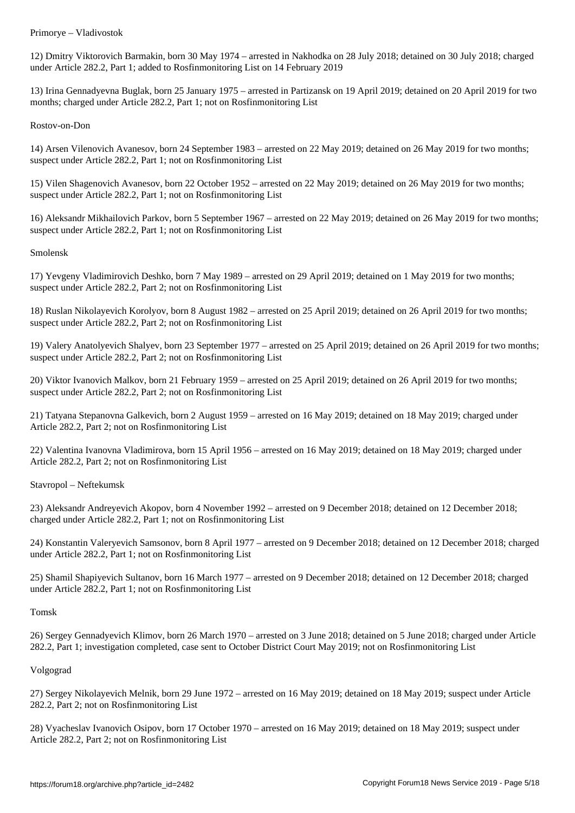12) Dmitry Viktorovich Barmakin, born 30 May 1974 – arrested in Nakhodka on 28 July 2018; detained on 30 July 2018; charged under Article 282.2, Part 1; added to Rosfinmonitoring List on 14 February 2019

13) Irina Gennadyevna Buglak, born 25 January 1975 – arrested in Partizansk on 19 April 2019; detained on 20 April 2019 for two months; charged under Article 282.2, Part 1; not on Rosfinmonitoring List

Rostov-on-Don

14) Arsen Vilenovich Avanesov, born 24 September 1983 – arrested on 22 May 2019; detained on 26 May 2019 for two months; suspect under Article 282.2, Part 1; not on Rosfinmonitoring List

15) Vilen Shagenovich Avanesov, born 22 October 1952 – arrested on 22 May 2019; detained on 26 May 2019 for two months; suspect under Article 282.2, Part 1; not on Rosfinmonitoring List

16) Aleksandr Mikhailovich Parkov, born 5 September 1967 – arrested on 22 May 2019; detained on 26 May 2019 for two months; suspect under Article 282.2, Part 1; not on Rosfinmonitoring List

Smolensk

17) Yevgeny Vladimirovich Deshko, born 7 May 1989 – arrested on 29 April 2019; detained on 1 May 2019 for two months; suspect under Article 282.2, Part 2; not on Rosfinmonitoring List

18) Ruslan Nikolayevich Korolyov, born 8 August 1982 – arrested on 25 April 2019; detained on 26 April 2019 for two months; suspect under Article 282.2, Part 2; not on Rosfinmonitoring List

19) Valery Anatolyevich Shalyev, born 23 September 1977 – arrested on 25 April 2019; detained on 26 April 2019 for two months; suspect under Article 282.2, Part 2; not on Rosfinmonitoring List

20) Viktor Ivanovich Malkov, born 21 February 1959 – arrested on 25 April 2019; detained on 26 April 2019 for two months; suspect under Article 282.2, Part 2; not on Rosfinmonitoring List

21) Tatyana Stepanovna Galkevich, born 2 August 1959 – arrested on 16 May 2019; detained on 18 May 2019; charged under Article 282.2, Part 2; not on Rosfinmonitoring List

22) Valentina Ivanovna Vladimirova, born 15 April 1956 – arrested on 16 May 2019; detained on 18 May 2019; charged under Article 282.2, Part 2; not on Rosfinmonitoring List

Stavropol – Neftekumsk

23) Aleksandr Andreyevich Akopov, born 4 November 1992 – arrested on 9 December 2018; detained on 12 December 2018; charged under Article 282.2, Part 1; not on Rosfinmonitoring List

24) Konstantin Valeryevich Samsonov, born 8 April 1977 – arrested on 9 December 2018; detained on 12 December 2018; charged under Article 282.2, Part 1; not on Rosfinmonitoring List

25) Shamil Shapiyevich Sultanov, born 16 March 1977 – arrested on 9 December 2018; detained on 12 December 2018; charged under Article 282.2, Part 1; not on Rosfinmonitoring List

Tomsk

26) Sergey Gennadyevich Klimov, born 26 March 1970 – arrested on 3 June 2018; detained on 5 June 2018; charged under Article 282.2, Part 1; investigation completed, case sent to October District Court May 2019; not on Rosfinmonitoring List

Volgograd

27) Sergey Nikolayevich Melnik, born 29 June 1972 – arrested on 16 May 2019; detained on 18 May 2019; suspect under Article 282.2, Part 2; not on Rosfinmonitoring List

28) Vyacheslav Ivanovich Osipov, born 17 October 1970 – arrested on 16 May 2019; detained on 18 May 2019; suspect under Article 282.2, Part 2; not on Rosfinmonitoring List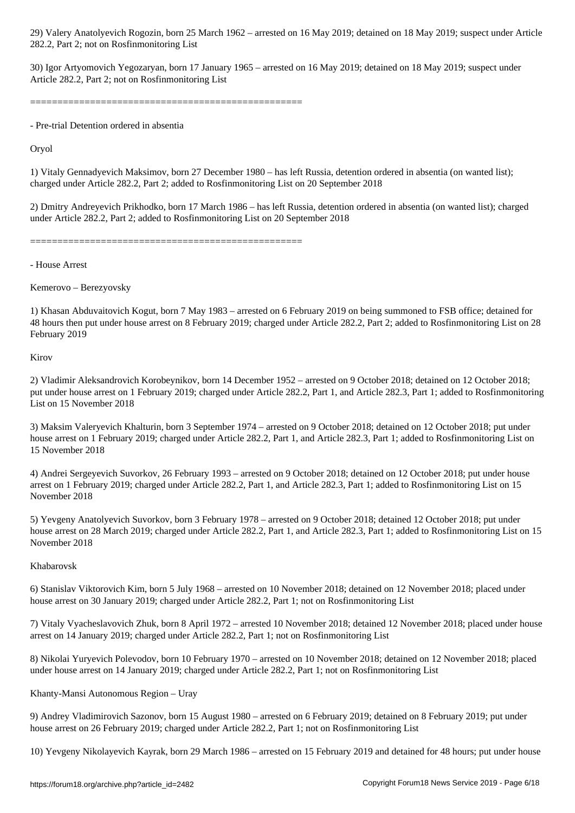282.2, Part 2; not on Rosfinmonitoring List

30) Igor Artyomovich Yegozaryan, born 17 January 1965 – arrested on 16 May 2019; detained on 18 May 2019; suspect under Article 282.2, Part 2; not on Rosfinmonitoring List

==================================================

- Pre-trial Detention ordered in absentia

Oryol

1) Vitaly Gennadyevich Maksimov, born 27 December 1980 – has left Russia, detention ordered in absentia (on wanted list); charged under Article 282.2, Part 2; added to Rosfinmonitoring List on 20 September 2018

2) Dmitry Andreyevich Prikhodko, born 17 March 1986 – has left Russia, detention ordered in absentia (on wanted list); charged under Article 282.2, Part 2; added to Rosfinmonitoring List on 20 September 2018

==================================================

- House Arrest

Kemerovo – Berezyovsky

1) Khasan Abduvaitovich Kogut, born 7 May 1983 – arrested on 6 February 2019 on being summoned to FSB office; detained for 48 hours then put under house arrest on 8 February 2019; charged under Article 282.2, Part 2; added to Rosfinmonitoring List on 28 February 2019

Kirov

2) Vladimir Aleksandrovich Korobeynikov, born 14 December 1952 – arrested on 9 October 2018; detained on 12 October 2018; put under house arrest on 1 February 2019; charged under Article 282.2, Part 1, and Article 282.3, Part 1; added to Rosfinmonitoring List on 15 November 2018

3) Maksim Valeryevich Khalturin, born 3 September 1974 – arrested on 9 October 2018; detained on 12 October 2018; put under house arrest on 1 February 2019; charged under Article 282.2, Part 1, and Article 282.3, Part 1; added to Rosfinmonitoring List on 15 November 2018

4) Andrei Sergeyevich Suvorkov, 26 February 1993 – arrested on 9 October 2018; detained on 12 October 2018; put under house arrest on 1 February 2019; charged under Article 282.2, Part 1, and Article 282.3, Part 1; added to Rosfinmonitoring List on 15 November 2018

5) Yevgeny Anatolyevich Suvorkov, born 3 February 1978 – arrested on 9 October 2018; detained 12 October 2018; put under house arrest on 28 March 2019; charged under Article 282.2, Part 1, and Article 282.3, Part 1; added to Rosfinmonitoring List on 15 November 2018

## Khabarovsk

6) Stanislav Viktorovich Kim, born 5 July 1968 – arrested on 10 November 2018; detained on 12 November 2018; placed under house arrest on 30 January 2019; charged under Article 282.2, Part 1; not on Rosfinmonitoring List

7) Vitaly Vyacheslavovich Zhuk, born 8 April 1972 – arrested 10 November 2018; detained 12 November 2018; placed under house arrest on 14 January 2019; charged under Article 282.2, Part 1; not on Rosfinmonitoring List

8) Nikolai Yuryevich Polevodov, born 10 February 1970 – arrested on 10 November 2018; detained on 12 November 2018; placed under house arrest on 14 January 2019; charged under Article 282.2, Part 1; not on Rosfinmonitoring List

# Khanty-Mansi Autonomous Region – Uray

9) Andrey Vladimirovich Sazonov, born 15 August 1980 – arrested on 6 February 2019; detained on 8 February 2019; put under house arrest on 26 February 2019; charged under Article 282.2, Part 1; not on Rosfinmonitoring List

10) Yevgeny Nikolayevich Kayrak, born 29 March 1986 – arrested on 15 February 2019 and detained for 48 hours; put under house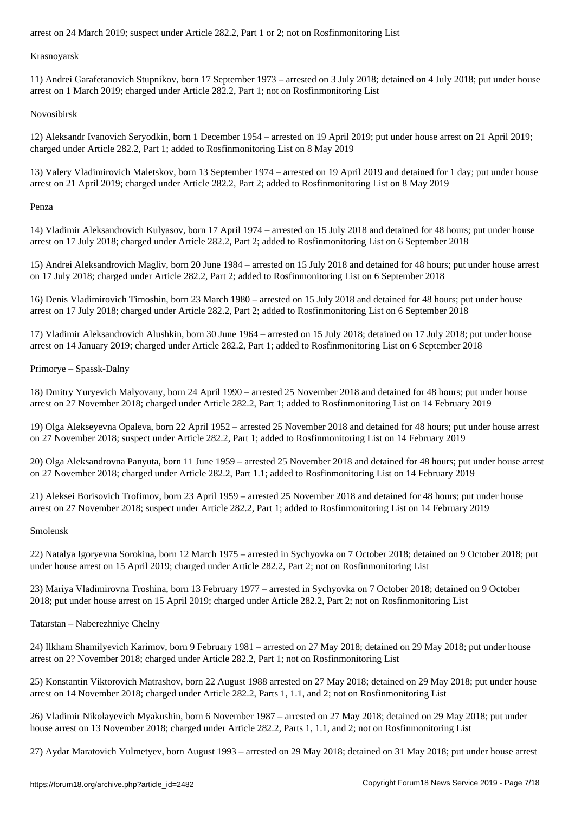Krasnoyarsk

11) Andrei Garafetanovich Stupnikov, born 17 September 1973 – arrested on 3 July 2018; detained on 4 July 2018; put under house arrest on 1 March 2019; charged under Article 282.2, Part 1; not on Rosfinmonitoring List

Novosibirsk

12) Aleksandr Ivanovich Seryodkin, born 1 December 1954 – arrested on 19 April 2019; put under house arrest on 21 April 2019; charged under Article 282.2, Part 1; added to Rosfinmonitoring List on 8 May 2019

13) Valery Vladimirovich Maletskov, born 13 September 1974 – arrested on 19 April 2019 and detained for 1 day; put under house arrest on 21 April 2019; charged under Article 282.2, Part 2; added to Rosfinmonitoring List on 8 May 2019

Penza

14) Vladimir Aleksandrovich Kulyasov, born 17 April 1974 – arrested on 15 July 2018 and detained for 48 hours; put under house arrest on 17 July 2018; charged under Article 282.2, Part 2; added to Rosfinmonitoring List on 6 September 2018

15) Andrei Aleksandrovich Magliv, born 20 June 1984 – arrested on 15 July 2018 and detained for 48 hours; put under house arrest on 17 July 2018; charged under Article 282.2, Part 2; added to Rosfinmonitoring List on 6 September 2018

16) Denis Vladimirovich Timoshin, born 23 March 1980 – arrested on 15 July 2018 and detained for 48 hours; put under house arrest on 17 July 2018; charged under Article 282.2, Part 2; added to Rosfinmonitoring List on 6 September 2018

17) Vladimir Aleksandrovich Alushkin, born 30 June 1964 – arrested on 15 July 2018; detained on 17 July 2018; put under house arrest on 14 January 2019; charged under Article 282.2, Part 1; added to Rosfinmonitoring List on 6 September 2018

Primorye – Spassk-Dalny

18) Dmitry Yuryevich Malyovany, born 24 April 1990 – arrested 25 November 2018 and detained for 48 hours; put under house arrest on 27 November 2018; charged under Article 282.2, Part 1; added to Rosfinmonitoring List on 14 February 2019

19) Olga Alekseyevna Opaleva, born 22 April 1952 – arrested 25 November 2018 and detained for 48 hours; put under house arrest on 27 November 2018; suspect under Article 282.2, Part 1; added to Rosfinmonitoring List on 14 February 2019

20) Olga Aleksandrovna Panyuta, born 11 June 1959 – arrested 25 November 2018 and detained for 48 hours; put under house arrest on 27 November 2018; charged under Article 282.2, Part 1.1; added to Rosfinmonitoring List on 14 February 2019

21) Aleksei Borisovich Trofimov, born 23 April 1959 – arrested 25 November 2018 and detained for 48 hours; put under house arrest on 27 November 2018; suspect under Article 282.2, Part 1; added to Rosfinmonitoring List on 14 February 2019

Smolensk

22) Natalya Igoryevna Sorokina, born 12 March 1975 – arrested in Sychyovka on 7 October 2018; detained on 9 October 2018; put under house arrest on 15 April 2019; charged under Article 282.2, Part 2; not on Rosfinmonitoring List

23) Mariya Vladimirovna Troshina, born 13 February 1977 – arrested in Sychyovka on 7 October 2018; detained on 9 October 2018; put under house arrest on 15 April 2019; charged under Article 282.2, Part 2; not on Rosfinmonitoring List

Tatarstan – Naberezhniye Chelny

24) Ilkham Shamilyevich Karimov, born 9 February 1981 – arrested on 27 May 2018; detained on 29 May 2018; put under house arrest on 2? November 2018; charged under Article 282.2, Part 1; not on Rosfinmonitoring List

25) Konstantin Viktorovich Matrashov, born 22 August 1988 arrested on 27 May 2018; detained on 29 May 2018; put under house arrest on 14 November 2018; charged under Article 282.2, Parts 1, 1.1, and 2; not on Rosfinmonitoring List

26) Vladimir Nikolayevich Myakushin, born 6 November 1987 – arrested on 27 May 2018; detained on 29 May 2018; put under house arrest on 13 November 2018; charged under Article 282.2, Parts 1, 1.1, and 2; not on Rosfinmonitoring List

27) Aydar Maratovich Yulmetyev, born August 1993 – arrested on 29 May 2018; detained on 31 May 2018; put under house arrest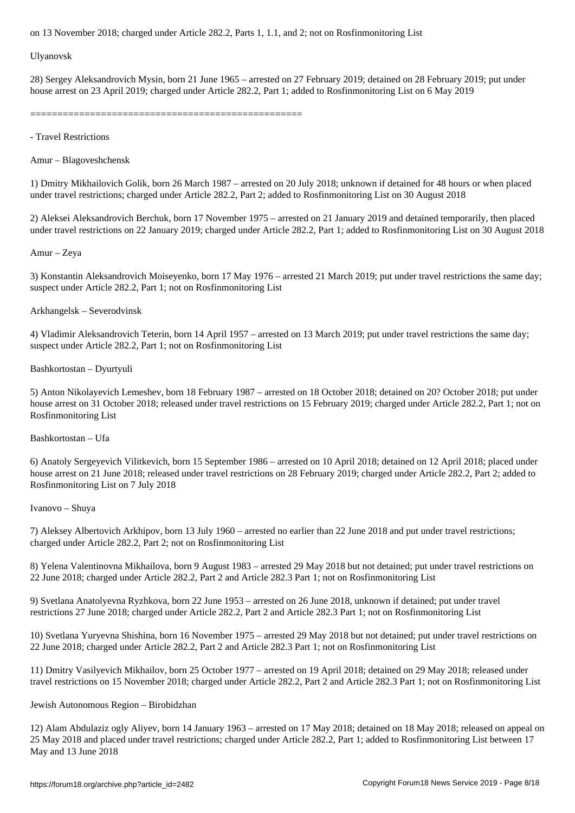Ulyanovsk

28) Sergey Aleksandrovich Mysin, born 21 June 1965 – arrested on 27 February 2019; detained on 28 February 2019; put under house arrest on 23 April 2019; charged under Article 282.2, Part 1; added to Rosfinmonitoring List on 6 May 2019

==================================================

- Travel Restrictions

Amur – Blagoveshchensk

1) Dmitry Mikhailovich Golik, born 26 March 1987 – arrested on 20 July 2018; unknown if detained for 48 hours or when placed under travel restrictions; charged under Article 282.2, Part 2; added to Rosfinmonitoring List on 30 August 2018

2) Aleksei Aleksandrovich Berchuk, born 17 November 1975 – arrested on 21 January 2019 and detained temporarily, then placed under travel restrictions on 22 January 2019; charged under Article 282.2, Part 1; added to Rosfinmonitoring List on 30 August 2018

Amur – Zeya

3) Konstantin Aleksandrovich Moiseyenko, born 17 May 1976 – arrested 21 March 2019; put under travel restrictions the same day; suspect under Article 282.2, Part 1; not on Rosfinmonitoring List

Arkhangelsk – Severodvinsk

4) Vladimir Aleksandrovich Teterin, born 14 April 1957 – arrested on 13 March 2019; put under travel restrictions the same day; suspect under Article 282.2, Part 1; not on Rosfinmonitoring List

Bashkortostan – Dyurtyuli

5) Anton Nikolayevich Lemeshev, born 18 February 1987 – arrested on 18 October 2018; detained on 20? October 2018; put under house arrest on 31 October 2018; released under travel restrictions on 15 February 2019; charged under Article 282.2, Part 1; not on Rosfinmonitoring List

Bashkortostan – Ufa

6) Anatoly Sergeyevich Vilitkevich, born 15 September 1986 – arrested on 10 April 2018; detained on 12 April 2018; placed under house arrest on 21 June 2018; released under travel restrictions on 28 February 2019; charged under Article 282.2, Part 2; added to Rosfinmonitoring List on 7 July 2018

Ivanovo – Shuya

7) Aleksey Albertovich Arkhipov, born 13 July 1960 – arrested no earlier than 22 June 2018 and put under travel restrictions; charged under Article 282.2, Part 2; not on Rosfinmonitoring List

8) Yelena Valentinovna Mikhailova, born 9 August 1983 – arrested 29 May 2018 but not detained; put under travel restrictions on 22 June 2018; charged under Article 282.2, Part 2 and Article 282.3 Part 1; not on Rosfinmonitoring List

9) Svetlana Anatolyevna Ryzhkova, born 22 June 1953 – arrested on 26 June 2018, unknown if detained; put under travel restrictions 27 June 2018; charged under Article 282.2, Part 2 and Article 282.3 Part 1; not on Rosfinmonitoring List

10) Svetlana Yuryevna Shishina, born 16 November 1975 – arrested 29 May 2018 but not detained; put under travel restrictions on 22 June 2018; charged under Article 282.2, Part 2 and Article 282.3 Part 1; not on Rosfinmonitoring List

11) Dmitry Vasilyevich Mikhailov, born 25 October 1977 – arrested on 19 April 2018; detained on 29 May 2018; released under travel restrictions on 15 November 2018; charged under Article 282.2, Part 2 and Article 282.3 Part 1; not on Rosfinmonitoring List

Jewish Autonomous Region – Birobidzhan

12) Alam Abdulaziz ogly Aliyev, born 14 January 1963 – arrested on 17 May 2018; detained on 18 May 2018; released on appeal on 25 May 2018 and placed under travel restrictions; charged under Article 282.2, Part 1; added to Rosfinmonitoring List between 17 May and 13 June 2018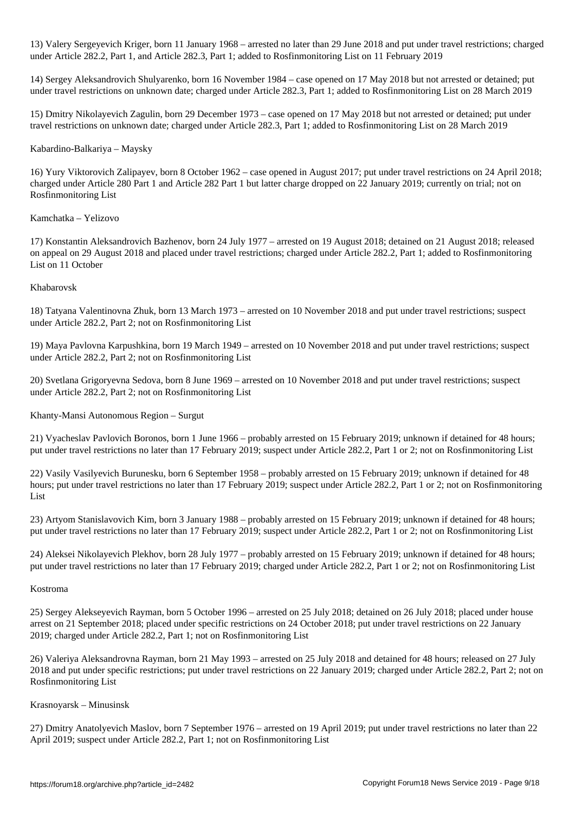13) Valery Sergeyevich Kriger, born 11 January 1968 – arrested no later than 29 June 2018 and put under travel restrictions; charged under Article 282.2, Part 1, and Article 282.3, Part 1; added to Rosfinmonitoring List on 11 February 2019

14) Sergey Aleksandrovich Shulyarenko, born 16 November 1984 – case opened on 17 May 2018 but not arrested or detained; put under travel restrictions on unknown date; charged under Article 282.3, Part 1; added to Rosfinmonitoring List on 28 March 2019

15) Dmitry Nikolayevich Zagulin, born 29 December 1973 – case opened on 17 May 2018 but not arrested or detained; put under travel restrictions on unknown date; charged under Article 282.3, Part 1; added to Rosfinmonitoring List on 28 March 2019

## Kabardino-Balkariya – Maysky

16) Yury Viktorovich Zalipayev, born 8 October 1962 – case opened in August 2017; put under travel restrictions on 24 April 2018; charged under Article 280 Part 1 and Article 282 Part 1 but latter charge dropped on 22 January 2019; currently on trial; not on Rosfinmonitoring List

# Kamchatka – Yelizovo

17) Konstantin Aleksandrovich Bazhenov, born 24 July 1977 – arrested on 19 August 2018; detained on 21 August 2018; released on appeal on 29 August 2018 and placed under travel restrictions; charged under Article 282.2, Part 1; added to Rosfinmonitoring List on 11 October

# Khabarovsk

18) Tatyana Valentinovna Zhuk, born 13 March 1973 – arrested on 10 November 2018 and put under travel restrictions; suspect under Article 282.2, Part 2; not on Rosfinmonitoring List

19) Maya Pavlovna Karpushkina, born 19 March 1949 – arrested on 10 November 2018 and put under travel restrictions; suspect under Article 282.2, Part 2; not on Rosfinmonitoring List

20) Svetlana Grigoryevna Sedova, born 8 June 1969 – arrested on 10 November 2018 and put under travel restrictions; suspect under Article 282.2, Part 2; not on Rosfinmonitoring List

Khanty-Mansi Autonomous Region – Surgut

21) Vyacheslav Pavlovich Boronos, born 1 June 1966 – probably arrested on 15 February 2019; unknown if detained for 48 hours; put under travel restrictions no later than 17 February 2019; suspect under Article 282.2, Part 1 or 2; not on Rosfinmonitoring List

22) Vasily Vasilyevich Burunesku, born 6 September 1958 – probably arrested on 15 February 2019; unknown if detained for 48 hours; put under travel restrictions no later than 17 February 2019; suspect under Article 282.2, Part 1 or 2; not on Rosfinmonitoring List

23) Artyom Stanislavovich Kim, born 3 January 1988 – probably arrested on 15 February 2019; unknown if detained for 48 hours; put under travel restrictions no later than 17 February 2019; suspect under Article 282.2, Part 1 or 2; not on Rosfinmonitoring List

24) Aleksei Nikolayevich Plekhov, born 28 July 1977 – probably arrested on 15 February 2019; unknown if detained for 48 hours; put under travel restrictions no later than 17 February 2019; charged under Article 282.2, Part 1 or 2; not on Rosfinmonitoring List

## Kostroma

25) Sergey Alekseyevich Rayman, born 5 October 1996 – arrested on 25 July 2018; detained on 26 July 2018; placed under house arrest on 21 September 2018; placed under specific restrictions on 24 October 2018; put under travel restrictions on 22 January 2019; charged under Article 282.2, Part 1; not on Rosfinmonitoring List

26) Valeriya Aleksandrovna Rayman, born 21 May 1993 – arrested on 25 July 2018 and detained for 48 hours; released on 27 July 2018 and put under specific restrictions; put under travel restrictions on 22 January 2019; charged under Article 282.2, Part 2; not on Rosfinmonitoring List

## Krasnoyarsk – Minusinsk

27) Dmitry Anatolyevich Maslov, born 7 September 1976 – arrested on 19 April 2019; put under travel restrictions no later than 22 April 2019; suspect under Article 282.2, Part 1; not on Rosfinmonitoring List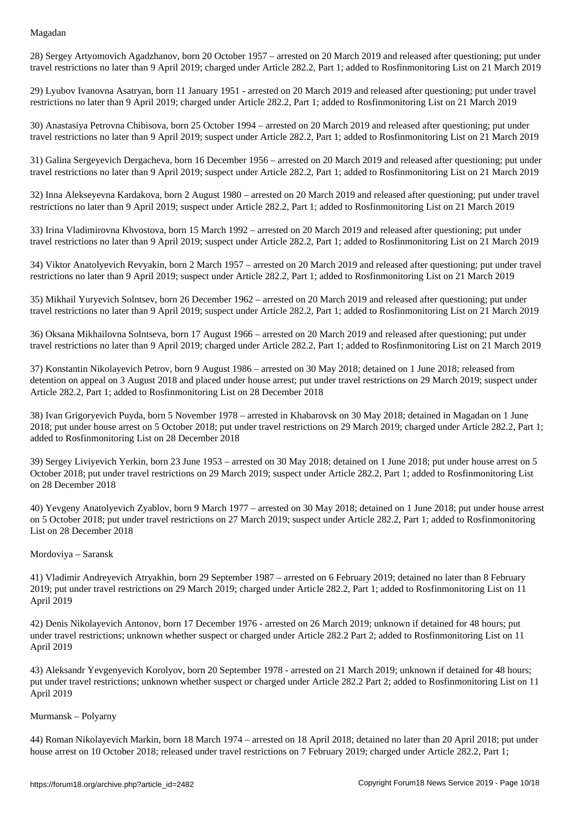28) Sergey Artyomovich Agadzhanov, born 20 October 1957 – arrested on 20 March 2019 and released after questioning; put under travel restrictions no later than 9 April 2019; charged under Article 282.2, Part 1; added to Rosfinmonitoring List on 21 March 2019

29) Lyubov Ivanovna Asatryan, born 11 January 1951 - arrested on 20 March 2019 and released after questioning; put under travel restrictions no later than 9 April 2019; charged under Article 282.2, Part 1; added to Rosfinmonitoring List on 21 March 2019

30) Anastasiya Petrovna Chibisova, born 25 October 1994 – arrested on 20 March 2019 and released after questioning; put under travel restrictions no later than 9 April 2019; suspect under Article 282.2, Part 1; added to Rosfinmonitoring List on 21 March 2019

31) Galina Sergeyevich Dergacheva, born 16 December 1956 – arrested on 20 March 2019 and released after questioning; put under travel restrictions no later than 9 April 2019; suspect under Article 282.2, Part 1; added to Rosfinmonitoring List on 21 March 2019

32) Inna Alekseyevna Kardakova, born 2 August 1980 – arrested on 20 March 2019 and released after questioning; put under travel restrictions no later than 9 April 2019; suspect under Article 282.2, Part 1; added to Rosfinmonitoring List on 21 March 2019

33) Irina Vladimirovna Khvostova, born 15 March 1992 – arrested on 20 March 2019 and released after questioning; put under travel restrictions no later than 9 April 2019; suspect under Article 282.2, Part 1; added to Rosfinmonitoring List on 21 March 2019

34) Viktor Anatolyevich Revyakin, born 2 March 1957 – arrested on 20 March 2019 and released after questioning; put under travel restrictions no later than 9 April 2019; suspect under Article 282.2, Part 1; added to Rosfinmonitoring List on 21 March 2019

35) Mikhail Yuryevich Solntsev, born 26 December 1962 – arrested on 20 March 2019 and released after questioning; put under travel restrictions no later than 9 April 2019; suspect under Article 282.2, Part 1; added to Rosfinmonitoring List on 21 March 2019

36) Oksana Mikhailovna Solntseva, born 17 August 1966 – arrested on 20 March 2019 and released after questioning; put under travel restrictions no later than 9 April 2019; charged under Article 282.2, Part 1; added to Rosfinmonitoring List on 21 March 2019

37) Konstantin Nikolayevich Petrov, born 9 August 1986 – arrested on 30 May 2018; detained on 1 June 2018; released from detention on appeal on 3 August 2018 and placed under house arrest; put under travel restrictions on 29 March 2019; suspect under Article 282.2, Part 1; added to Rosfinmonitoring List on 28 December 2018

38) Ivan Grigoryevich Puyda, born 5 November 1978 – arrested in Khabarovsk on 30 May 2018; detained in Magadan on 1 June 2018; put under house arrest on 5 October 2018; put under travel restrictions on 29 March 2019; charged under Article 282.2, Part 1; added to Rosfinmonitoring List on 28 December 2018

39) Sergey Liviyevich Yerkin, born 23 June 1953 – arrested on 30 May 2018; detained on 1 June 2018; put under house arrest on 5 October 2018; put under travel restrictions on 29 March 2019; suspect under Article 282.2, Part 1; added to Rosfinmonitoring List on 28 December 2018

40) Yevgeny Anatolyevich Zyablov, born 9 March 1977 – arrested on 30 May 2018; detained on 1 June 2018; put under house arrest on 5 October 2018; put under travel restrictions on 27 March 2019; suspect under Article 282.2, Part 1; added to Rosfinmonitoring List on 28 December 2018

#### Mordoviya – Saransk

41) Vladimir Andreyevich Atryakhin, born 29 September 1987 – arrested on 6 February 2019; detained no later than 8 February 2019; put under travel restrictions on 29 March 2019; charged under Article 282.2, Part 1; added to Rosfinmonitoring List on 11 April 2019

42) Denis Nikolayevich Antonov, born 17 December 1976 - arrested on 26 March 2019; unknown if detained for 48 hours; put under travel restrictions; unknown whether suspect or charged under Article 282.2 Part 2; added to Rosfinmonitoring List on 11 April 2019

43) Aleksandr Yevgenyevich Korolyov, born 20 September 1978 - arrested on 21 March 2019; unknown if detained for 48 hours; put under travel restrictions; unknown whether suspect or charged under Article 282.2 Part 2; added to Rosfinmonitoring List on 11 April 2019

#### Murmansk – Polyarny

44) Roman Nikolayevich Markin, born 18 March 1974 – arrested on 18 April 2018; detained no later than 20 April 2018; put under house arrest on 10 October 2018; released under travel restrictions on 7 February 2019; charged under Article 282.2, Part 1;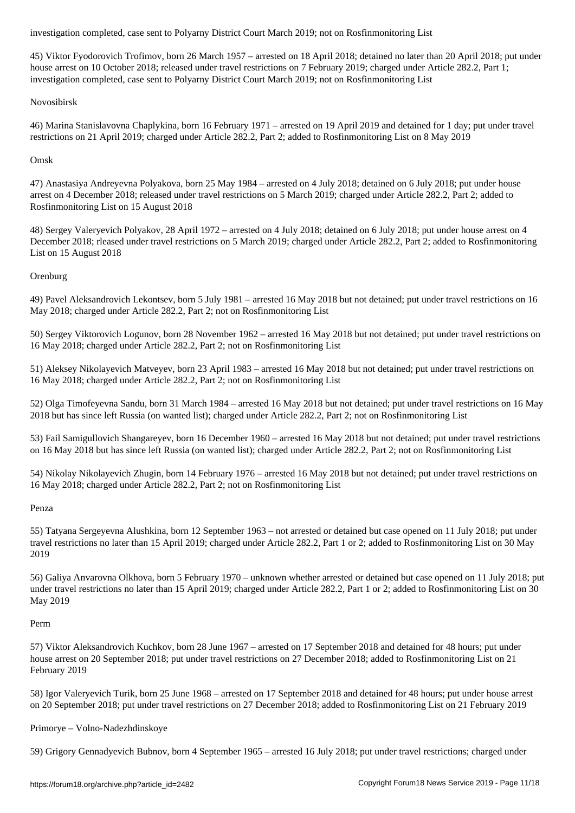45) Viktor Fyodorovich Trofimov, born 26 March 1957 – arrested on 18 April 2018; detained no later than 20 April 2018; put under house arrest on 10 October 2018; released under travel restrictions on 7 February 2019; charged under Article 282.2, Part 1; investigation completed, case sent to Polyarny District Court March 2019; not on Rosfinmonitoring List

## Novosibirsk

46) Marina Stanislavovna Chaplykina, born 16 February 1971 – arrested on 19 April 2019 and detained for 1 day; put under travel restrictions on 21 April 2019; charged under Article 282.2, Part 2; added to Rosfinmonitoring List on 8 May 2019

## Omsk

47) Anastasiya Andreyevna Polyakova, born 25 May 1984 – arrested on 4 July 2018; detained on 6 July 2018; put under house arrest on 4 December 2018; released under travel restrictions on 5 March 2019; charged under Article 282.2, Part 2; added to Rosfinmonitoring List on 15 August 2018

48) Sergey Valeryevich Polyakov, 28 April 1972 – arrested on 4 July 2018; detained on 6 July 2018; put under house arrest on 4 December 2018; rleased under travel restrictions on 5 March 2019; charged under Article 282.2, Part 2; added to Rosfinmonitoring List on 15 August 2018

## Orenburg

49) Pavel Aleksandrovich Lekontsev, born 5 July 1981 – arrested 16 May 2018 but not detained; put under travel restrictions on 16 May 2018; charged under Article 282.2, Part 2; not on Rosfinmonitoring List

50) Sergey Viktorovich Logunov, born 28 November 1962 – arrested 16 May 2018 but not detained; put under travel restrictions on 16 May 2018; charged under Article 282.2, Part 2; not on Rosfinmonitoring List

51) Aleksey Nikolayevich Matveyev, born 23 April 1983 – arrested 16 May 2018 but not detained; put under travel restrictions on 16 May 2018; charged under Article 282.2, Part 2; not on Rosfinmonitoring List

52) Olga Timofeyevna Sandu, born 31 March 1984 – arrested 16 May 2018 but not detained; put under travel restrictions on 16 May 2018 but has since left Russia (on wanted list); charged under Article 282.2, Part 2; not on Rosfinmonitoring List

53) Fail Samigullovich Shangareyev, born 16 December 1960 – arrested 16 May 2018 but not detained; put under travel restrictions on 16 May 2018 but has since left Russia (on wanted list); charged under Article 282.2, Part 2; not on Rosfinmonitoring List

54) Nikolay Nikolayevich Zhugin, born 14 February 1976 – arrested 16 May 2018 but not detained; put under travel restrictions on 16 May 2018; charged under Article 282.2, Part 2; not on Rosfinmonitoring List

## Penza

55) Tatyana Sergeyevna Alushkina, born 12 September 1963 – not arrested or detained but case opened on 11 July 2018; put under travel restrictions no later than 15 April 2019; charged under Article 282.2, Part 1 or 2; added to Rosfinmonitoring List on 30 May 2019

56) Galiya Anvarovna Olkhova, born 5 February 1970 – unknown whether arrested or detained but case opened on 11 July 2018; put under travel restrictions no later than 15 April 2019; charged under Article 282.2, Part 1 or 2; added to Rosfinmonitoring List on 30 May 2019

#### Perm

57) Viktor Aleksandrovich Kuchkov, born 28 June 1967 – arrested on 17 September 2018 and detained for 48 hours; put under house arrest on 20 September 2018; put under travel restrictions on 27 December 2018; added to Rosfinmonitoring List on 21 February 2019

58) Igor Valeryevich Turik, born 25 June 1968 – arrested on 17 September 2018 and detained for 48 hours; put under house arrest on 20 September 2018; put under travel restrictions on 27 December 2018; added to Rosfinmonitoring List on 21 February 2019

## Primorye – Volno-Nadezhdinskoye

59) Grigory Gennadyevich Bubnov, born 4 September 1965 – arrested 16 July 2018; put under travel restrictions; charged under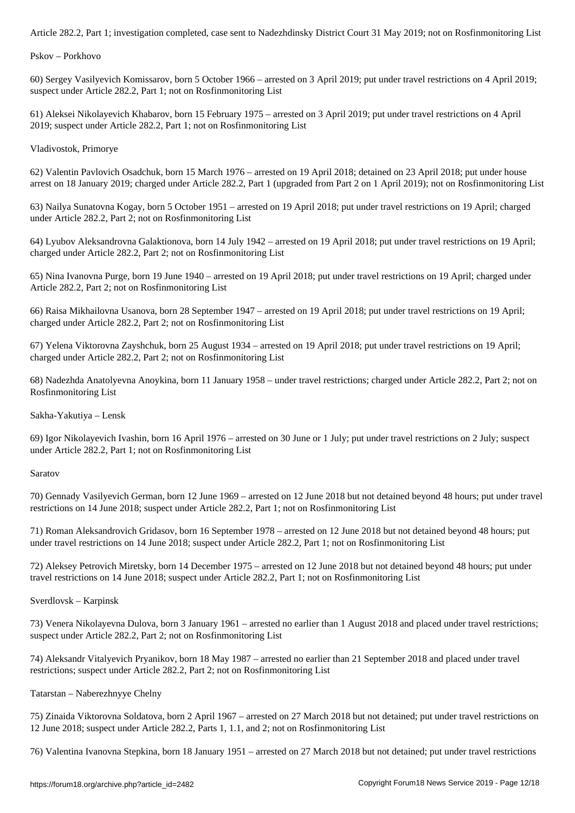Pskov – Porkhovo

60) Sergey Vasilyevich Komissarov, born 5 October 1966 – arrested on 3 April 2019; put under travel restrictions on 4 April 2019; suspect under Article 282.2, Part 1; not on Rosfinmonitoring List

61) Aleksei Nikolayevich Khabarov, born 15 February 1975 – arrested on 3 April 2019; put under travel restrictions on 4 April 2019; suspect under Article 282.2, Part 1; not on Rosfinmonitoring List

Vladivostok, Primorye

62) Valentin Pavlovich Osadchuk, born 15 March 1976 – arrested on 19 April 2018; detained on 23 April 2018; put under house arrest on 18 January 2019; charged under Article 282.2, Part 1 (upgraded from Part 2 on 1 April 2019); not on Rosfinmonitoring List

63) Nailya Sunatovna Kogay, born 5 October 1951 – arrested on 19 April 2018; put under travel restrictions on 19 April; charged under Article 282.2, Part 2; not on Rosfinmonitoring List

64) Lyubov Aleksandrovna Galaktionova, born 14 July 1942 – arrested on 19 April 2018; put under travel restrictions on 19 April; charged under Article 282.2, Part 2; not on Rosfinmonitoring List

65) Nina Ivanovna Purge, born 19 June 1940 – arrested on 19 April 2018; put under travel restrictions on 19 April; charged under Article 282.2, Part 2; not on Rosfinmonitoring List

66) Raisa Mikhailovna Usanova, born 28 September 1947 – arrested on 19 April 2018; put under travel restrictions on 19 April; charged under Article 282.2, Part 2; not on Rosfinmonitoring List

67) Yelena Viktorovna Zayshchuk, born 25 August 1934 – arrested on 19 April 2018; put under travel restrictions on 19 April; charged under Article 282.2, Part 2; not on Rosfinmonitoring List

68) Nadezhda Anatolyevna Anoykina, born 11 January 1958 – under travel restrictions; charged under Article 282.2, Part 2; not on Rosfinmonitoring List

Sakha-Yakutiya – Lensk

69) Igor Nikolayevich Ivashin, born 16 April 1976 – arrested on 30 June or 1 July; put under travel restrictions on 2 July; suspect under Article 282.2, Part 1; not on Rosfinmonitoring List

Saratov

70) Gennady Vasilyevich German, born 12 June 1969 – arrested on 12 June 2018 but not detained beyond 48 hours; put under travel restrictions on 14 June 2018; suspect under Article 282.2, Part 1; not on Rosfinmonitoring List

71) Roman Aleksandrovich Gridasov, born 16 September 1978 – arrested on 12 June 2018 but not detained beyond 48 hours; put under travel restrictions on 14 June 2018; suspect under Article 282.2, Part 1; not on Rosfinmonitoring List

72) Aleksey Petrovich Miretsky, born 14 December 1975 – arrested on 12 June 2018 but not detained beyond 48 hours; put under travel restrictions on 14 June 2018; suspect under Article 282.2, Part 1; not on Rosfinmonitoring List

Sverdlovsk – Karpinsk

73) Venera Nikolayevna Dulova, born 3 January 1961 – arrested no earlier than 1 August 2018 and placed under travel restrictions; suspect under Article 282.2, Part 2; not on Rosfinmonitoring List

74) Aleksandr Vitalyevich Pryanikov, born 18 May 1987 – arrested no earlier than 21 September 2018 and placed under travel restrictions; suspect under Article 282.2, Part 2; not on Rosfinmonitoring List

Tatarstan – Naberezhnyye Chelny

75) Zinaida Viktorovna Soldatova, born 2 April 1967 – arrested on 27 March 2018 but not detained; put under travel restrictions on 12 June 2018; suspect under Article 282.2, Parts 1, 1.1, and 2; not on Rosfinmonitoring List

76) Valentina Ivanovna Stepkina, born 18 January 1951 – arrested on 27 March 2018 but not detained; put under travel restrictions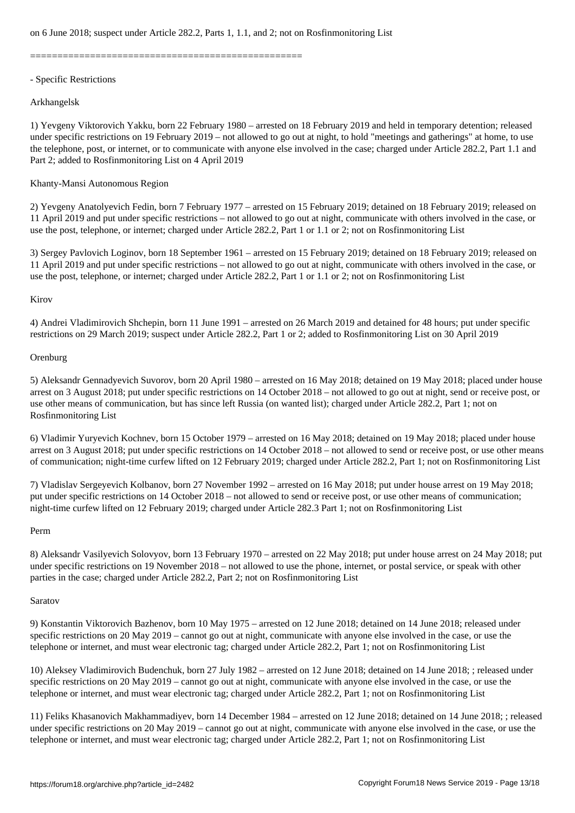==================================================

### - Specific Restrictions

## Arkhangelsk

1) Yevgeny Viktorovich Yakku, born 22 February 1980 – arrested on 18 February 2019 and held in temporary detention; released under specific restrictions on 19 February 2019 – not allowed to go out at night, to hold "meetings and gatherings" at home, to use the telephone, post, or internet, or to communicate with anyone else involved in the case; charged under Article 282.2, Part 1.1 and Part 2; added to Rosfinmonitoring List on 4 April 2019

## Khanty-Mansi Autonomous Region

2) Yevgeny Anatolyevich Fedin, born 7 February 1977 – arrested on 15 February 2019; detained on 18 February 2019; released on 11 April 2019 and put under specific restrictions – not allowed to go out at night, communicate with others involved in the case, or use the post, telephone, or internet; charged under Article 282.2, Part 1 or 1.1 or 2; not on Rosfinmonitoring List

3) Sergey Pavlovich Loginov, born 18 September 1961 – arrested on 15 February 2019; detained on 18 February 2019; released on 11 April 2019 and put under specific restrictions – not allowed to go out at night, communicate with others involved in the case, or use the post, telephone, or internet; charged under Article 282.2, Part 1 or 1.1 or 2; not on Rosfinmonitoring List

## Kirov

4) Andrei Vladimirovich Shchepin, born 11 June 1991 – arrested on 26 March 2019 and detained for 48 hours; put under specific restrictions on 29 March 2019; suspect under Article 282.2, Part 1 or 2; added to Rosfinmonitoring List on 30 April 2019

## **Orenburg**

5) Aleksandr Gennadyevich Suvorov, born 20 April 1980 – arrested on 16 May 2018; detained on 19 May 2018; placed under house arrest on 3 August 2018; put under specific restrictions on 14 October 2018 – not allowed to go out at night, send or receive post, or use other means of communication, but has since left Russia (on wanted list); charged under Article 282.2, Part 1; not on Rosfinmonitoring List

6) Vladimir Yuryevich Kochnev, born 15 October 1979 – arrested on 16 May 2018; detained on 19 May 2018; placed under house arrest on 3 August 2018; put under specific restrictions on 14 October 2018 – not allowed to send or receive post, or use other means of communication; night-time curfew lifted on 12 February 2019; charged under Article 282.2, Part 1; not on Rosfinmonitoring List

7) Vladislav Sergeyevich Kolbanov, born 27 November 1992 – arrested on 16 May 2018; put under house arrest on 19 May 2018; put under specific restrictions on 14 October 2018 – not allowed to send or receive post, or use other means of communication; night-time curfew lifted on 12 February 2019; charged under Article 282.3 Part 1; not on Rosfinmonitoring List

#### Perm

8) Aleksandr Vasilyevich Solovyov, born 13 February 1970 – arrested on 22 May 2018; put under house arrest on 24 May 2018; put under specific restrictions on 19 November 2018 – not allowed to use the phone, internet, or postal service, or speak with other parties in the case; charged under Article 282.2, Part 2; not on Rosfinmonitoring List

## Saratov

9) Konstantin Viktorovich Bazhenov, born 10 May 1975 – arrested on 12 June 2018; detained on 14 June 2018; released under specific restrictions on 20 May 2019 – cannot go out at night, communicate with anyone else involved in the case, or use the telephone or internet, and must wear electronic tag; charged under Article 282.2, Part 1; not on Rosfinmonitoring List

10) Aleksey Vladimirovich Budenchuk, born 27 July 1982 – arrested on 12 June 2018; detained on 14 June 2018; ; released under specific restrictions on 20 May 2019 – cannot go out at night, communicate with anyone else involved in the case, or use the telephone or internet, and must wear electronic tag; charged under Article 282.2, Part 1; not on Rosfinmonitoring List

11) Feliks Khasanovich Makhammadiyev, born 14 December 1984 – arrested on 12 June 2018; detained on 14 June 2018; ; released under specific restrictions on 20 May 2019 – cannot go out at night, communicate with anyone else involved in the case, or use the telephone or internet, and must wear electronic tag; charged under Article 282.2, Part 1; not on Rosfinmonitoring List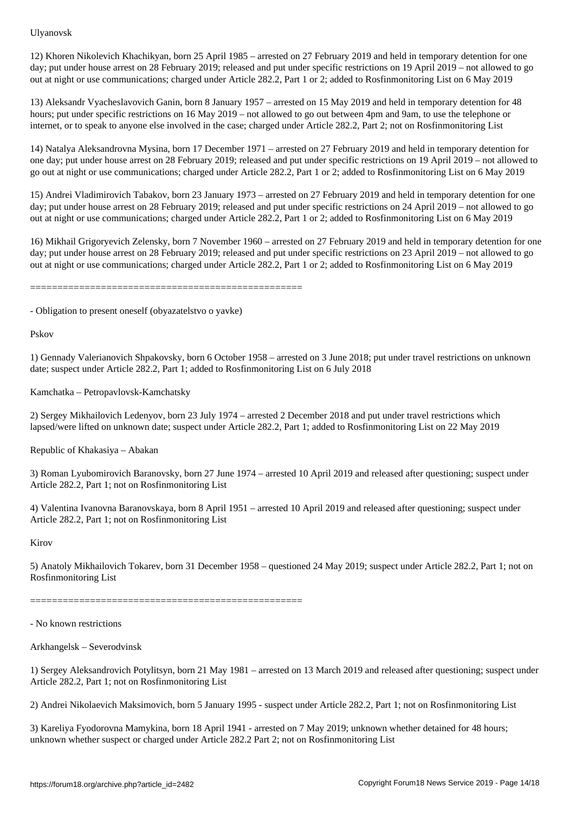12) Khoren Nikolevich Khachikyan, born 25 April 1985 – arrested on 27 February 2019 and held in temporary detention for one day; put under house arrest on 28 February 2019; released and put under specific restrictions on 19 April 2019 – not allowed to go out at night or use communications; charged under Article 282.2, Part 1 or 2; added to Rosfinmonitoring List on 6 May 2019

13) Aleksandr Vyacheslavovich Ganin, born 8 January 1957 – arrested on 15 May 2019 and held in temporary detention for 48 hours; put under specific restrictions on 16 May 2019 – not allowed to go out between 4pm and 9am, to use the telephone or internet, or to speak to anyone else involved in the case; charged under Article 282.2, Part 2; not on Rosfinmonitoring List

14) Natalya Aleksandrovna Mysina, born 17 December 1971 – arrested on 27 February 2019 and held in temporary detention for one day; put under house arrest on 28 February 2019; released and put under specific restrictions on 19 April 2019 – not allowed to go out at night or use communications; charged under Article 282.2, Part 1 or 2; added to Rosfinmonitoring List on 6 May 2019

15) Andrei Vladimirovich Tabakov, born 23 January 1973 – arrested on 27 February 2019 and held in temporary detention for one day; put under house arrest on 28 February 2019; released and put under specific restrictions on 24 April 2019 – not allowed to go out at night or use communications; charged under Article 282.2, Part 1 or 2; added to Rosfinmonitoring List on 6 May 2019

16) Mikhail Grigoryevich Zelensky, born 7 November 1960 – arrested on 27 February 2019 and held in temporary detention for one day; put under house arrest on 28 February 2019; released and put under specific restrictions on 23 April 2019 – not allowed to go out at night or use communications; charged under Article 282.2, Part 1 or 2; added to Rosfinmonitoring List on 6 May 2019

==================================================

- Obligation to present oneself (obyazatelstvo o yavke)

Pskov

1) Gennady Valerianovich Shpakovsky, born 6 October 1958 – arrested on 3 June 2018; put under travel restrictions on unknown date; suspect under Article 282.2, Part 1; added to Rosfinmonitoring List on 6 July 2018

Kamchatka – Petropavlovsk-Kamchatsky

2) Sergey Mikhailovich Ledenyov, born 23 July 1974 – arrested 2 December 2018 and put under travel restrictions which lapsed/were lifted on unknown date; suspect under Article 282.2, Part 1; added to Rosfinmonitoring List on 22 May 2019

Republic of Khakasiya – Abakan

3) Roman Lyubomirovich Baranovsky, born 27 June 1974 – arrested 10 April 2019 and released after questioning; suspect under Article 282.2, Part 1; not on Rosfinmonitoring List

4) Valentina Ivanovna Baranovskaya, born 8 April 1951 – arrested 10 April 2019 and released after questioning; suspect under Article 282.2, Part 1; not on Rosfinmonitoring List

Kirov

5) Anatoly Mikhailovich Tokarev, born 31 December 1958 – questioned 24 May 2019; suspect under Article 282.2, Part 1; not on Rosfinmonitoring List

==================================================

- No known restrictions

Arkhangelsk – Severodvinsk

1) Sergey Aleksandrovich Potylitsyn, born 21 May 1981 – arrested on 13 March 2019 and released after questioning; suspect under Article 282.2, Part 1; not on Rosfinmonitoring List

2) Andrei Nikolaevich Maksimovich, born 5 January 1995 - suspect under Article 282.2, Part 1; not on Rosfinmonitoring List

3) Kareliya Fyodorovna Mamykina, born 18 April 1941 - arrested on 7 May 2019; unknown whether detained for 48 hours; unknown whether suspect or charged under Article 282.2 Part 2; not on Rosfinmonitoring List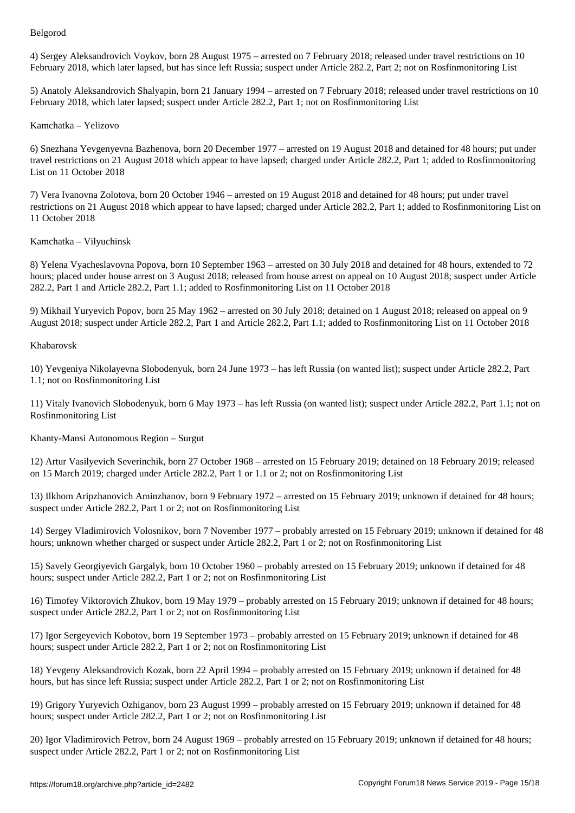4) Sergey Aleksandrovich Voykov, born 28 August 1975 – arrested on 7 February 2018; released under travel restrictions on 10 February 2018, which later lapsed, but has since left Russia; suspect under Article 282.2, Part 2; not on Rosfinmonitoring List

5) Anatoly Aleksandrovich Shalyapin, born 21 January 1994 – arrested on 7 February 2018; released under travel restrictions on 10 February 2018, which later lapsed; suspect under Article 282.2, Part 1; not on Rosfinmonitoring List

## Kamchatka – Yelizovo

6) Snezhana Yevgenyevna Bazhenova, born 20 December 1977 – arrested on 19 August 2018 and detained for 48 hours; put under travel restrictions on 21 August 2018 which appear to have lapsed; charged under Article 282.2, Part 1; added to Rosfinmonitoring List on 11 October 2018

7) Vera Ivanovna Zolotova, born 20 October 1946 – arrested on 19 August 2018 and detained for 48 hours; put under travel restrictions on 21 August 2018 which appear to have lapsed; charged under Article 282.2, Part 1; added to Rosfinmonitoring List on 11 October 2018

Kamchatka – Vilyuchinsk

8) Yelena Vyacheslavovna Popova, born 10 September 1963 – arrested on 30 July 2018 and detained for 48 hours, extended to 72 hours; placed under house arrest on 3 August 2018; released from house arrest on appeal on 10 August 2018; suspect under Article 282.2, Part 1 and Article 282.2, Part 1.1; added to Rosfinmonitoring List on 11 October 2018

9) Mikhail Yuryevich Popov, born 25 May 1962 – arrested on 30 July 2018; detained on 1 August 2018; released on appeal on 9 August 2018; suspect under Article 282.2, Part 1 and Article 282.2, Part 1.1; added to Rosfinmonitoring List on 11 October 2018

## Khabarovsk

10) Yevgeniya Nikolayevna Slobodenyuk, born 24 June 1973 – has left Russia (on wanted list); suspect under Article 282.2, Part 1.1; not on Rosfinmonitoring List

11) Vitaly Ivanovich Slobodenyuk, born 6 May 1973 – has left Russia (on wanted list); suspect under Article 282.2, Part 1.1; not on Rosfinmonitoring List

Khanty-Mansi Autonomous Region – Surgut

12) Artur Vasilyevich Severinchik, born 27 October 1968 – arrested on 15 February 2019; detained on 18 February 2019; released on 15 March 2019; charged under Article 282.2, Part 1 or 1.1 or 2; not on Rosfinmonitoring List

13) Ilkhom Aripzhanovich Aminzhanov, born 9 February 1972 – arrested on 15 February 2019; unknown if detained for 48 hours; suspect under Article 282.2, Part 1 or 2; not on Rosfinmonitoring List

14) Sergey Vladimirovich Volosnikov, born 7 November 1977 – probably arrested on 15 February 2019; unknown if detained for 48 hours; unknown whether charged or suspect under Article 282.2, Part 1 or 2; not on Rosfinmonitoring List

15) Savely Georgiyevich Gargalyk, born 10 October 1960 – probably arrested on 15 February 2019; unknown if detained for 48 hours; suspect under Article 282.2, Part 1 or 2; not on Rosfinmonitoring List

16) Timofey Viktorovich Zhukov, born 19 May 1979 – probably arrested on 15 February 2019; unknown if detained for 48 hours; suspect under Article 282.2, Part 1 or 2; not on Rosfinmonitoring List

17) Igor Sergeyevich Kobotov, born 19 September 1973 – probably arrested on 15 February 2019; unknown if detained for 48 hours; suspect under Article 282.2, Part 1 or 2; not on Rosfinmonitoring List

18) Yevgeny Aleksandrovich Kozak, born 22 April 1994 – probably arrested on 15 February 2019; unknown if detained for 48 hours, but has since left Russia; suspect under Article 282.2, Part 1 or 2; not on Rosfinmonitoring List

19) Grigory Yuryevich Ozhiganov, born 23 August 1999 – probably arrested on 15 February 2019; unknown if detained for 48 hours; suspect under Article 282.2, Part 1 or 2; not on Rosfinmonitoring List

20) Igor Vladimirovich Petrov, born 24 August 1969 – probably arrested on 15 February 2019; unknown if detained for 48 hours; suspect under Article 282.2, Part 1 or 2; not on Rosfinmonitoring List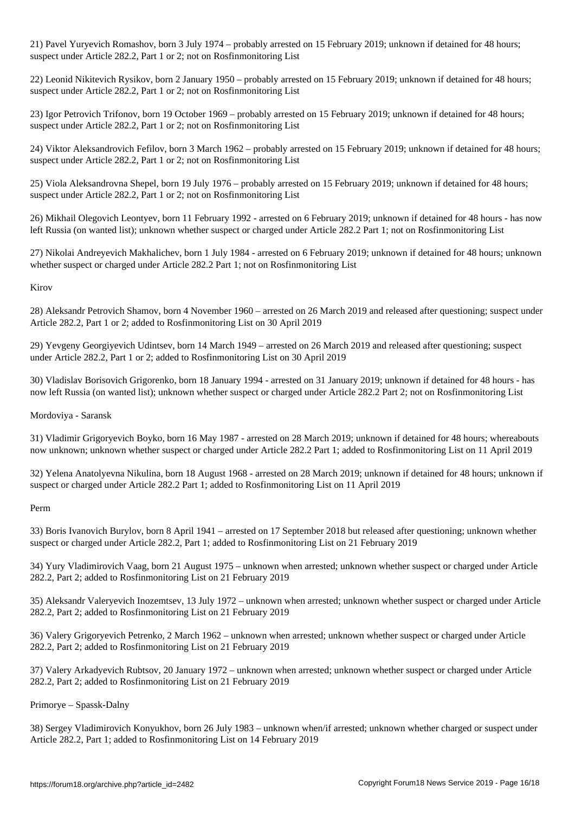21) Pavel Yuryevich Romashov, born 3 July 1974 – probably arrested on 15 February 2019; unknown if detained for 48 hours; suspect under Article 282.2, Part 1 or 2; not on Rosfinmonitoring List

22) Leonid Nikitevich Rysikov, born 2 January 1950 – probably arrested on 15 February 2019; unknown if detained for 48 hours; suspect under Article 282.2, Part 1 or 2; not on Rosfinmonitoring List

23) Igor Petrovich Trifonov, born 19 October 1969 – probably arrested on 15 February 2019; unknown if detained for 48 hours; suspect under Article 282.2, Part 1 or 2; not on Rosfinmonitoring List

24) Viktor Aleksandrovich Fefilov, born 3 March 1962 – probably arrested on 15 February 2019; unknown if detained for 48 hours; suspect under Article 282.2, Part 1 or 2; not on Rosfinmonitoring List

25) Viola Aleksandrovna Shepel, born 19 July 1976 – probably arrested on 15 February 2019; unknown if detained for 48 hours; suspect under Article 282.2, Part 1 or 2; not on Rosfinmonitoring List

26) Mikhail Olegovich Leontyev, born 11 February 1992 - arrested on 6 February 2019; unknown if detained for 48 hours - has now left Russia (on wanted list); unknown whether suspect or charged under Article 282.2 Part 1; not on Rosfinmonitoring List

27) Nikolai Andreyevich Makhalichev, born 1 July 1984 - arrested on 6 February 2019; unknown if detained for 48 hours; unknown whether suspect or charged under Article 282.2 Part 1; not on Rosfinmonitoring List

Kirov

28) Aleksandr Petrovich Shamov, born 4 November 1960 – arrested on 26 March 2019 and released after questioning; suspect under Article 282.2, Part 1 or 2; added to Rosfinmonitoring List on 30 April 2019

29) Yevgeny Georgiyevich Udintsev, born 14 March 1949 – arrested on 26 March 2019 and released after questioning; suspect under Article 282.2, Part 1 or 2; added to Rosfinmonitoring List on 30 April 2019

30) Vladislav Borisovich Grigorenko, born 18 January 1994 - arrested on 31 January 2019; unknown if detained for 48 hours - has now left Russia (on wanted list); unknown whether suspect or charged under Article 282.2 Part 2; not on Rosfinmonitoring List

Mordoviya - Saransk

31) Vladimir Grigoryevich Boyko, born 16 May 1987 - arrested on 28 March 2019; unknown if detained for 48 hours; whereabouts now unknown; unknown whether suspect or charged under Article 282.2 Part 1; added to Rosfinmonitoring List on 11 April 2019

32) Yelena Anatolyevna Nikulina, born 18 August 1968 - arrested on 28 March 2019; unknown if detained for 48 hours; unknown if suspect or charged under Article 282.2 Part 1; added to Rosfinmonitoring List on 11 April 2019

Perm

33) Boris Ivanovich Burylov, born 8 April 1941 – arrested on 17 September 2018 but released after questioning; unknown whether suspect or charged under Article 282.2, Part 1; added to Rosfinmonitoring List on 21 February 2019

34) Yury Vladimirovich Vaag, born 21 August 1975 – unknown when arrested; unknown whether suspect or charged under Article 282.2, Part 2; added to Rosfinmonitoring List on 21 February 2019

35) Aleksandr Valeryevich Inozemtsev, 13 July 1972 – unknown when arrested; unknown whether suspect or charged under Article 282.2, Part 2; added to Rosfinmonitoring List on 21 February 2019

36) Valery Grigoryevich Petrenko, 2 March 1962 – unknown when arrested; unknown whether suspect or charged under Article 282.2, Part 2; added to Rosfinmonitoring List on 21 February 2019

37) Valery Arkadyevich Rubtsov, 20 January 1972 – unknown when arrested; unknown whether suspect or charged under Article 282.2, Part 2; added to Rosfinmonitoring List on 21 February 2019

Primorye – Spassk-Dalny

38) Sergey Vladimirovich Konyukhov, born 26 July 1983 – unknown when/if arrested; unknown whether charged or suspect under Article 282.2, Part 1; added to Rosfinmonitoring List on 14 February 2019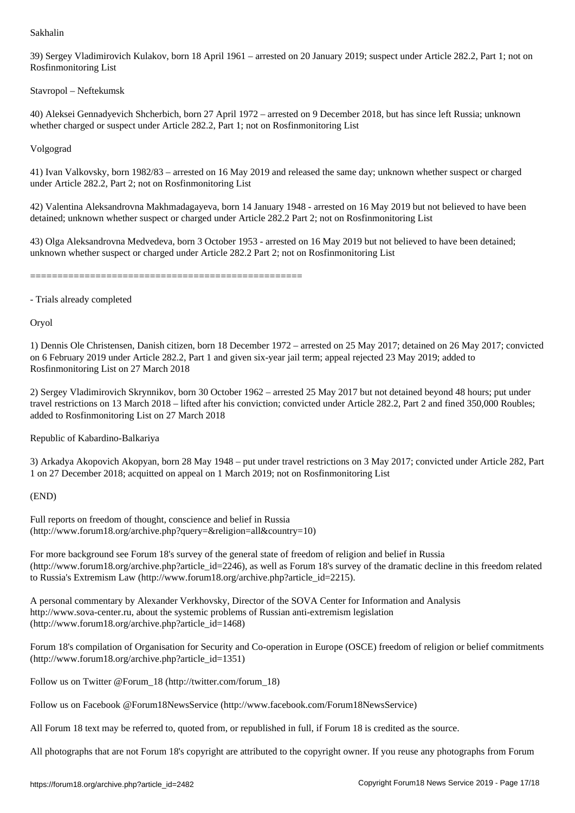39) Sergey Vladimirovich Kulakov, born 18 April 1961 – arrested on 20 January 2019; suspect under Article 282.2, Part 1; not on Rosfinmonitoring List

Stavropol – Neftekumsk

40) Aleksei Gennadyevich Shcherbich, born 27 April 1972 – arrested on 9 December 2018, but has since left Russia; unknown whether charged or suspect under Article 282.2, Part 1; not on Rosfinmonitoring List

Volgograd

41) Ivan Valkovsky, born 1982/83 – arrested on 16 May 2019 and released the same day; unknown whether suspect or charged under Article 282.2, Part 2; not on Rosfinmonitoring List

42) Valentina Aleksandrovna Makhmadagayeva, born 14 January 1948 - arrested on 16 May 2019 but not believed to have been detained; unknown whether suspect or charged under Article 282.2 Part 2; not on Rosfinmonitoring List

43) Olga Aleksandrovna Medvedeva, born 3 October 1953 - arrested on 16 May 2019 but not believed to have been detained; unknown whether suspect or charged under Article 282.2 Part 2; not on Rosfinmonitoring List

==================================================

- Trials already completed

Oryol

1) Dennis Ole Christensen, Danish citizen, born 18 December 1972 – arrested on 25 May 2017; detained on 26 May 2017; convicted on 6 February 2019 under Article 282.2, Part 1 and given six-year jail term; appeal rejected 23 May 2019; added to Rosfinmonitoring List on 27 March 2018

2) Sergey Vladimirovich Skrynnikov, born 30 October 1962 – arrested 25 May 2017 but not detained beyond 48 hours; put under travel restrictions on 13 March 2018 – lifted after his conviction; convicted under Article 282.2, Part 2 and fined 350,000 Roubles; added to Rosfinmonitoring List on 27 March 2018

Republic of Kabardino-Balkariya

3) Arkadya Akopovich Akopyan, born 28 May 1948 – put under travel restrictions on 3 May 2017; convicted under Article 282, Part 1 on 27 December 2018; acquitted on appeal on 1 March 2019; not on Rosfinmonitoring List

## (END)

Full reports on freedom of thought, conscience and belief in Russia (http://www.forum18.org/archive.php?query=&religion=all&country=10)

For more background see Forum 18's survey of the general state of freedom of religion and belief in Russia  $(\text{http://www.forum18.org/archive.php?article id=2246)}$ , as well as Forum 18's survey of the dramatic decline in this freedom related to Russia's Extremism Law (http://www.forum18.org/archive.php?article\_id=2215).

A personal commentary by Alexander Verkhovsky, Director of the SOVA Center for Information and Analysis http://www.sova-center.ru, about the systemic problems of Russian anti-extremism legislation (http://www.forum18.org/archive.php?article\_id=1468)

Forum 18's compilation of Organisation for Security and Co-operation in Europe (OSCE) freedom of religion or belief commitments (http://www.forum18.org/archive.php?article\_id=1351)

Follow us on Twitter @Forum\_18 (http://twitter.com/forum\_18)

Follow us on Facebook @Forum18NewsService (http://www.facebook.com/Forum18NewsService)

All Forum 18 text may be referred to, quoted from, or republished in full, if Forum 18 is credited as the source.

All photographs that are not Forum 18's copyright are attributed to the copyright owner. If you reuse any photographs from Forum